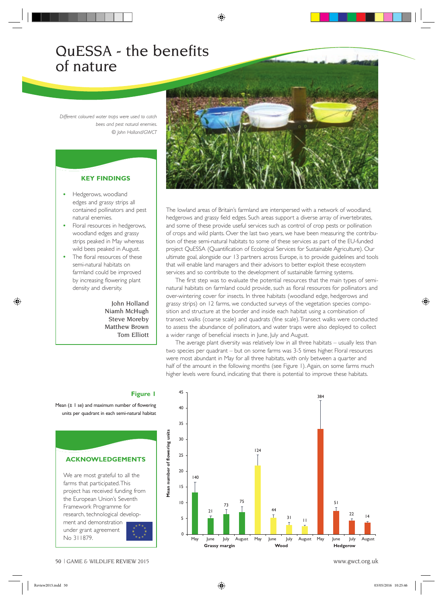# QuESSA - the benefits of nature

*Different coloured water traps were used to catch bees and pest natural enemies. © John Holland/GWCT*

## **KEY FINDINGS**

- Hedgerows, woodland edges and grassy strips all contained pollinators and pest natural enemies.
- Floral resources in hedgerows, woodland edges and grassy strips peaked in May whereas wild bees peaked in August.
- The floral resources of these semi-natural habitats on farmland could be improved by increasing flowering plant density and diversity.

John Holland Niamh McHugh Steve Moreby Matthew Brown Tom Elliott



The lowland areas of Britain's farmland are interspersed with a network of woodland, hedgerows and grassy field edges. Such areas support a diverse array of invertebrates, and some of these provide useful services such as control of crop pests or pollination of crops and wild plants. Over the last two years, we have been measuring the contribution of these semi-natural habitats to some of these services as part of the EU-funded project QuESSA (Quantification of Ecological Services for Sustainable Agriculture). Our ultimate goal, alongside our 13 partners across Europe, is to provide guidelines and tools that will enable land managers and their advisors to better exploit these ecosystem services and so contribute to the development of sustainable farming systems.

The first step was to evaluate the potential resources that the main types of seminatural habitats on farmland could provide, such as floral resources for pollinators and over-wintering cover for insects. In three habitats (woodland edge, hedgerows and grassy strips) on 12 farms, we conducted surveys of the vegetation species composition and structure at the border and inside each habitat using a combination of transect walks (coarse scale) and quadrats (fine scale). Transect walks were conducted to assess the abundance of pollinators, and water traps were also deployed to collect a wider range of beneficial insects in June, July and August.

The average plant diversity was relatively low in all three habitats – usually less than two species per quadrant – but on some farms was 3-5 times higher. Floral resources were most abundant in May for all three habitats, with only between a quarter and half of the amount in the following months (see Figure 1). Again, on some farms much higher levels were found, indicating that there is potential to improve these habitats.

#### 45 384 40 35 **Mean number of flowering units** Mean number of flowering units 30 124 25 20 140 15 75 10 51 73 44 21  $\frac{22}{7}$  14 5  $\frac{31}{7}$  11  $\Omega$  May June July August May June July August May June July August **Grassy margin 6 Mood Mood Hedgerow Crassy margin**

# **Figure 1**

Mean  $(± 1 se)$  and maximum number of flowering units per quadrant in each semi-natural habitat

# **ACKNOWLEDGEMENTS**

We are most grateful to all the farms that participated. This project has received funding from the European Union's Seventh Framework Programme for research, technological develop-

ment and demonstration under grant agreement No 311879.